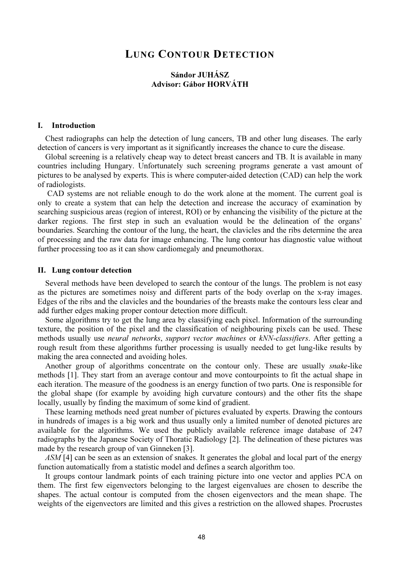# LUNG CONTOUR DETECTION

# Sándor JUHÁSZ Advisor: Gábor HORVÁTH

#### I. Introduction

Chest radiographs can help the detection of lung cancers, TB and other lung diseases. The early detection of cancers is very important as it significantly increases the chance to cure the disease.

Global screening is a relatively cheap way to detect breast cancers and TB. It is available in many countries including Hungary. Unfortunately such screening programs generate a vast amount of pictures to be analysed by experts. This is where computer-aided detection (CAD) can help the work of radiologists.

 CAD systems are not reliable enough to do the work alone at the moment. The current goal is only to create a system that can help the detection and increase the accuracy of examination by searching suspicious areas (region of interest, ROI) or by enhancing the visibility of the picture at the darker regions. The first step in such an evaluation would be the delineation of the organs' boundaries. Searching the contour of the lung, the heart, the clavicles and the ribs determine the area of processing and the raw data for image enhancing. The lung contour has diagnostic value without further processing too as it can show cardiomegaly and pneumothorax.

#### II. Lung contour detection

Several methods have been developed to search the contour of the lungs. The problem is not easy as the pictures are sometimes noisy and different parts of the body overlap on the x-ray images. Edges of the ribs and the clavicles and the boundaries of the breasts make the contours less clear and add further edges making proper contour detection more difficult.

Some algorithms try to get the lung area by classifying each pixel. Information of the surrounding texture, the position of the pixel and the classification of neighbouring pixels can be used. These methods usually use neural networks, support vector machines or kNN-classifiers. After getting a rough result from these algorithms further processing is usually needed to get lung-like results by making the area connected and avoiding holes.

Another group of algorithms concentrate on the contour only. These are usually snake-like methods [1]. They start from an average contour and move contourpoints to fit the actual shape in each iteration. The measure of the goodness is an energy function of two parts. One is responsible for the global shape (for example by avoiding high curvature contours) and the other fits the shape locally, usually by finding the maximum of some kind of gradient.

These learning methods need great number of pictures evaluated by experts. Drawing the contours in hundreds of images is a big work and thus usually only a limited number of denoted pictures are available for the algorithms. We used the publicly available reference image database of 247 radiographs by the Japanese Society of Thoratic Radiology [2]. The delineation of these pictures was made by the research group of van Ginneken [3].

ASM [4] can be seen as an extension of snakes. It generates the global and local part of the energy function automatically from a statistic model and defines a search algorithm too.

It groups contour landmark points of each training picture into one vector and applies PCA on them. The first few eigenvectors belonging to the largest eigenvalues are chosen to describe the shapes. The actual contour is computed from the chosen eigenvectors and the mean shape. The weights of the eigenvectors are limited and this gives a restriction on the allowed shapes. Procrustes